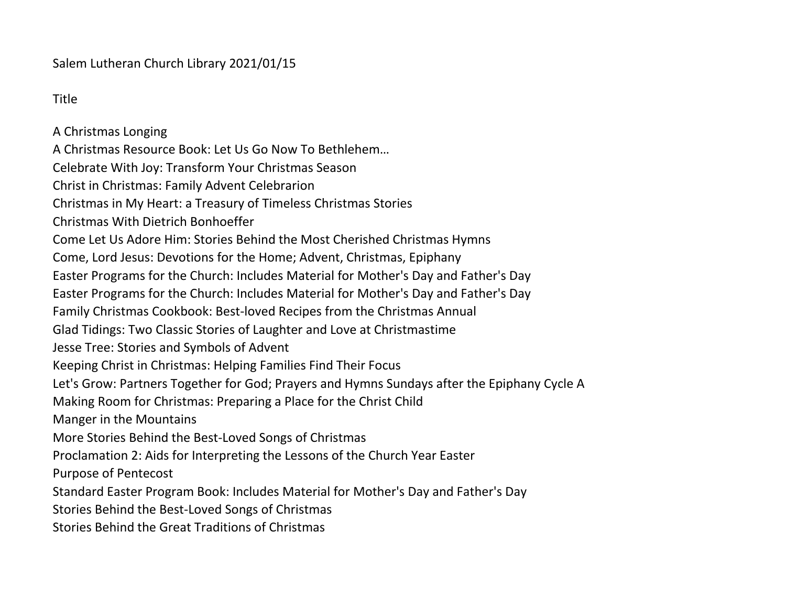Salem Lutheran Church Library 2021/01/15

Title

A Christmas Longing A Christmas Resource Book: Let Us Go Now To Bethlehem… Celebrate With Joy: Transform Your Christmas Season Christ in Christmas: Family Advent Celebrarion Christmas in My Heart: a Treasury of Timeless Christmas Stories Christmas With Dietrich Bonhoeffer Come Let Us Adore Him: Stories Behind the Most Cherished Christmas Hymns Come, Lord Jesus: Devotions for the Home; Advent, Christmas, Epiphany Easter Programs for the Church: Includes Material for Mother's Day and Father's Day Easter Programs for the Church: Includes Material for Mother's Day and Father's Day Family Christmas Cookbook: Best-loved Recipes from the Christmas Annual Glad Tidings: Two Classic Stories of Laughter and Love at Christmastime Jesse Tree: Stories and Symbols of Advent Keeping Christ in Christmas: Helping Families Find Their Focus Let's Grow: Partners Together for God; Prayers and Hymns Sundays after the Epiphany Cycle A Making Room for Christmas: Preparing a Place for the Christ Child Manger in the Mountains More Stories Behind the Best-Loved Songs of Christmas Proclamation 2: Aids for Interpreting the Lessons of the Church Year Easter Purpose of Pentecost Standard Easter Program Book: Includes Material for Mother's Day and Father's Day Stories Behind the Best-Loved Songs of Christmas Stories Behind the Great Traditions of Christmas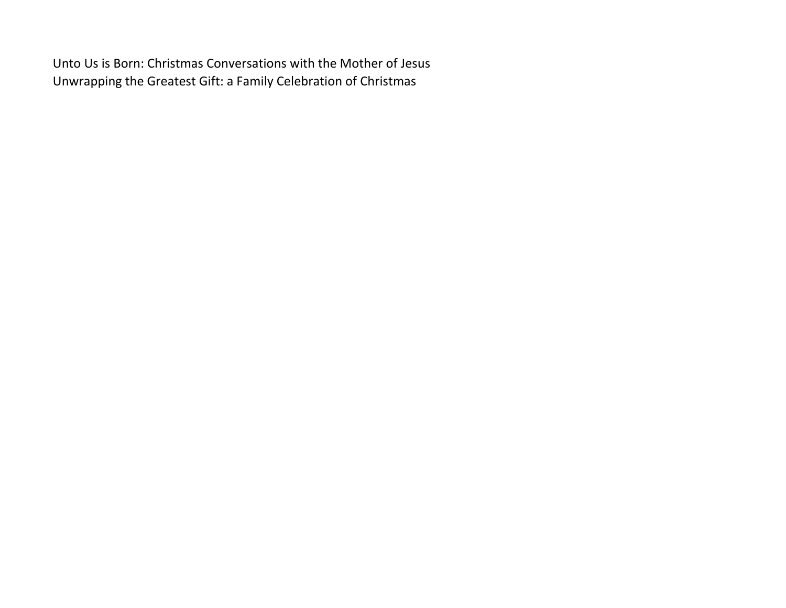Unto Us is Born: Christmas Conversations with the Mother of Jesus Unwrapping the Greatest Gift: a Family Celebration of Christmas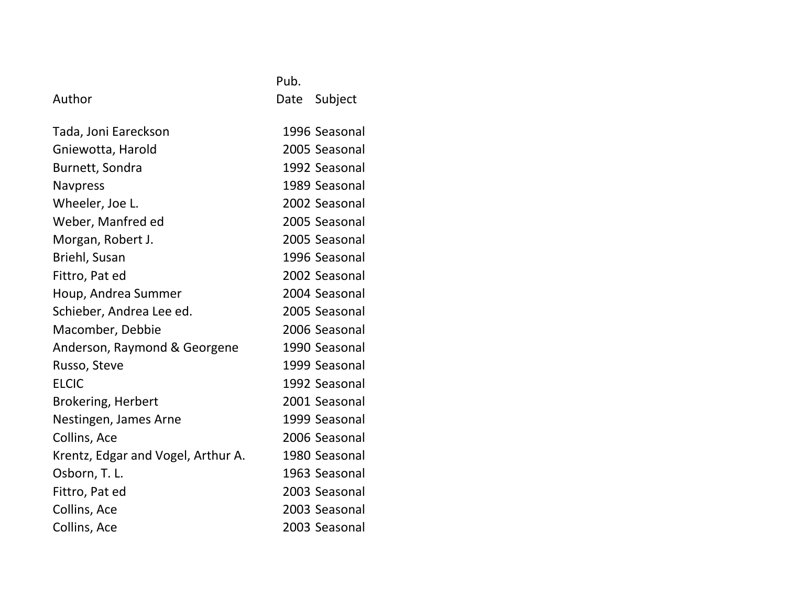## Author **Date** Subject

| Tada, Joni Eareckson               | 1996 Seasonal |
|------------------------------------|---------------|
| Gniewotta, Harold                  | 2005 Seasonal |
| Burnett, Sondra                    | 1992 Seasonal |
| <b>Navpress</b>                    | 1989 Seasonal |
| Wheeler, Joe L.                    | 2002 Seasonal |
| Weber, Manfred ed                  | 2005 Seasonal |
| Morgan, Robert J.                  | 2005 Seasonal |
| Briehl, Susan                      | 1996 Seasonal |
| Fittro, Pat ed                     | 2002 Seasonal |
| Houp, Andrea Summer                | 2004 Seasonal |
| Schieber, Andrea Lee ed.           | 2005 Seasonal |
| Macomber, Debbie                   | 2006 Seasonal |
| Anderson, Raymond & Georgene       | 1990 Seasonal |
| Russo, Steve                       | 1999 Seasonal |
| <b>ELCIC</b>                       | 1992 Seasonal |
| <b>Brokering, Herbert</b>          | 2001 Seasonal |
| Nestingen, James Arne              | 1999 Seasonal |
| Collins, Ace                       | 2006 Seasonal |
| Krentz, Edgar and Vogel, Arthur A. | 1980 Seasonal |
| Osborn, T. L.                      | 1963 Seasonal |
| Fittro, Pat ed                     | 2003 Seasonal |
| Collins, Ace                       | 2003 Seasonal |
| Collins, Ace                       | 2003 Seasonal |

Pub.